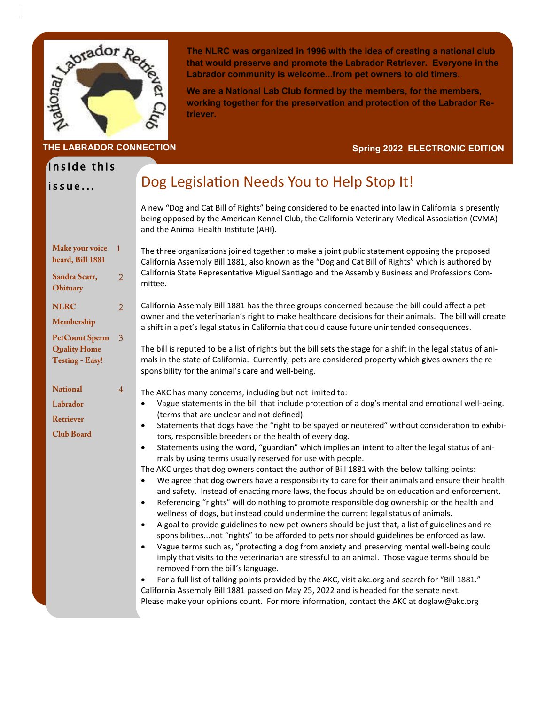

**THE LABRADOR CONNECTION**

**The NLRC was organized in 1996 with the idea of creating a national club that would preserve and promote the Labrador Retriever. Everyone in the Labrador community is welcome...from pet owners to old timers.** 

**We are a National Lab Club formed by the members, for the members, working together for the preservation and protection of the Labrador Retriever.** 

### **Spring 2022 ELECTRONIC EDITION**

# Inside this

issue...

## Dog Legislation Needs You to Help Stop It!

A new "Dog and Cat Bill of Rights" being considered to be enacted into law in California is presently being opposed by the American Kennel Club, the California Veterinary Medical Association (CVMA) and the Animal Health Institute (AHI).

| Make your voice<br>heard, Bill 1881<br>Sandra Scarr,<br><b>Obituary</b>                             | $\overline{1}$<br>$\overline{2}$ | The three organizations joined together to make a joint public statement opposing the proposed<br>California Assembly Bill 1881, also known as the "Dog and Cat Bill of Rights" which is authored by<br>California State Representative Miguel Santiago and the Assembly Business and Professions Com-<br>mittee.                                                                                                                                                                                                                                                                                                                                                                                                                                                                                                                                                                                                                                                                                                                                                                                                                                                                                                                                                                                                                                                                                                                                                                                                                                                                                                                                                                                                                      |
|-----------------------------------------------------------------------------------------------------|----------------------------------|----------------------------------------------------------------------------------------------------------------------------------------------------------------------------------------------------------------------------------------------------------------------------------------------------------------------------------------------------------------------------------------------------------------------------------------------------------------------------------------------------------------------------------------------------------------------------------------------------------------------------------------------------------------------------------------------------------------------------------------------------------------------------------------------------------------------------------------------------------------------------------------------------------------------------------------------------------------------------------------------------------------------------------------------------------------------------------------------------------------------------------------------------------------------------------------------------------------------------------------------------------------------------------------------------------------------------------------------------------------------------------------------------------------------------------------------------------------------------------------------------------------------------------------------------------------------------------------------------------------------------------------------------------------------------------------------------------------------------------------|
| <b>NLRC</b><br>Membership<br><b>PetCount Sperm</b><br><b>Quality Home</b><br><b>Testing - Easy!</b> | $\overline{2}$<br>$\overline{3}$ | California Assembly Bill 1881 has the three groups concerned because the bill could affect a pet<br>owner and the veterinarian's right to make healthcare decisions for their animals. The bill will create<br>a shift in a pet's legal status in California that could cause future unintended consequences.<br>The bill is reputed to be a list of rights but the bill sets the stage for a shift in the legal status of ani-<br>mals in the state of California. Currently, pets are considered property which gives owners the re-<br>sponsibility for the animal's care and well-being.                                                                                                                                                                                                                                                                                                                                                                                                                                                                                                                                                                                                                                                                                                                                                                                                                                                                                                                                                                                                                                                                                                                                           |
| <b>National</b><br>Labrador<br><b>Retriever</b><br><b>Club Board</b>                                | $\overline{4}$                   | The AKC has many concerns, including but not limited to:<br>Vague statements in the bill that include protection of a dog's mental and emotional well-being.<br>$\bullet$<br>(terms that are unclear and not defined).<br>Statements that dogs have the "right to be spayed or neutered" without consideration to exhibi-<br>$\bullet$<br>tors, responsible breeders or the health of every dog.<br>Statements using the word, "guardian" which implies an intent to alter the legal status of ani-<br>$\bullet$<br>mals by using terms usually reserved for use with people.<br>The AKC urges that dog owners contact the author of Bill 1881 with the below talking points:<br>We agree that dog owners have a responsibility to care for their animals and ensure their health<br>$\bullet$<br>and safety. Instead of enacting more laws, the focus should be on education and enforcement.<br>Referencing "rights" will do nothing to promote responsible dog ownership or the health and<br>wellness of dogs, but instead could undermine the current legal status of animals.<br>A goal to provide guidelines to new pet owners should be just that, a list of guidelines and re-<br>$\bullet$<br>sponsibilitiesnot "rights" to be afforded to pets nor should guidelines be enforced as law.<br>Vague terms such as, "protecting a dog from anxiety and preserving mental well-being could<br>imply that visits to the veterinarian are stressful to an animal. Those vague terms should be<br>removed from the bill's language.<br>For a full list of talking points provided by the AKC, visit akc.org and search for "Bill 1881."<br>California Assembly Bill 1881 passed on May 25, 2022 and is headed for the senate next. |

Please make your opinions count. For more information, contact the AKC at doglaw@akc.org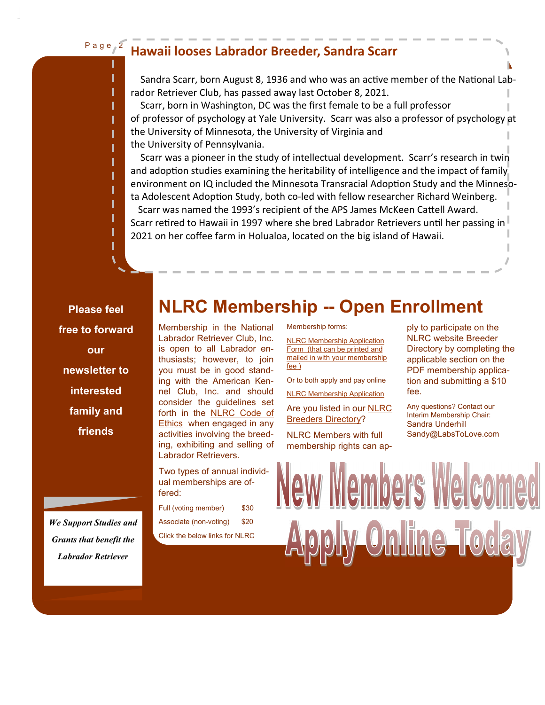### Page<sub>2</sub>

### **Hawaii looses Labrador Breeder, Sandra Scarr**

Sandra Scarr, born August 8, 1936 and who was an active member of the National Labrador Retriever Club, has passed away last October 8, 2021.

 Scarr, born in Washington, DC was the first female to be a full professor of professor of psychology at Yale University. Scarr was also a professor of psychology at the University of Minnesota, the University of Virginia and the University of Pennsylvania.

 Scarr was a pioneer in the study of intellectual development. Scarr's research in twin and adoption studies examining the heritability of intelligence and the impact of family environment on IQ included the Minnesota Transracial Adoption Study and the Minnesota Adolescent Adoption Study, both co-led with fellow researcher Richard Weinberg.

Scarr was named the 1993's recipient of the APS James McKeen Cattell Award. Scarr retired to Hawaii in 1997 where she bred Labrador Retrievers until her passing in 2021 on her coffee farm in Holualoa, located on the big island of Hawaii.

**Please feel free to forward our newsletter to interested family and friends** 

Membership in the National Labrador Retriever Club, Inc. is open to all Labrador enthusiasts; however, to join you must be in good standing with the American Kennel Club, Inc. and should consider the guidelines set forth in the NLRC Code of Ethics when engaged in any activities involving the breeding, exhibiting and selling of Labrador Retrievers.

Two types of annual individual memberships are offered:

| Full (voting member)           | \$30 |  |
|--------------------------------|------|--|
| Associate (non-voting)         | \$20 |  |
| Click the below links for NLRC |      |  |

Membership forms:

**NLRC Membership -- Open Enrollment**

NLRC Membership Application Form (that can be printed and mailed in with your membership fee )

Or to both apply and pay online

NLRC Membership Application

Are you listed in our NLRC Breeders Directory?

NLRC Members with full membership rights can apply to participate on the NLRC website Breeder Directory by completing the applicable section on the PDF membership application and submitting a \$10 fee.

Any questions? Contact our Interim Membership Chair: Sandra Underhill Sandy@LabsToLove.com

w Members We <u>ly Online Today</u>

*We Support Studies and Grants that benefit the Labrador Retriever*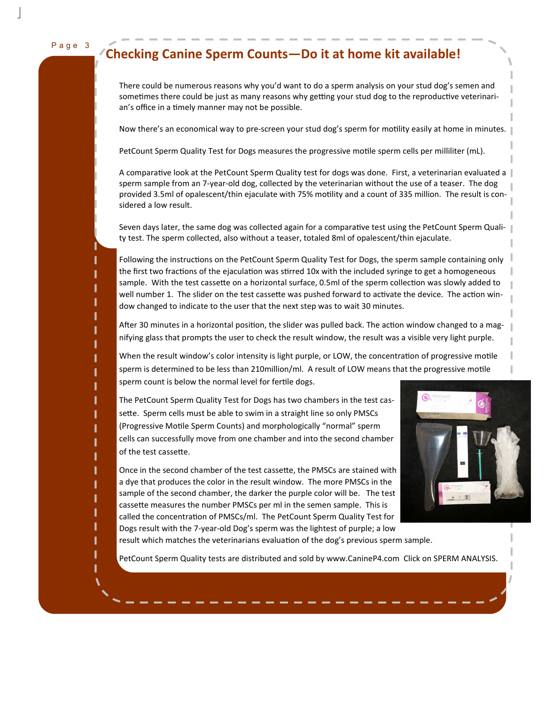#### Page 3

### **Checking Canine Sperm Counts—Do it at home kit available!**

There could be numerous reasons why you'd want to do a sperm analysis on your stud dog's semen and sometimes there could be just as many reasons why getting your stud dog to the reproductive veterinarian's office in a timely manner may not be possible.

Now there's an economical way to pre-screen your stud dog's sperm for motility easily at home in minutes.

PetCount Sperm Quality Test for Dogs measures the progressive motile sperm cells per milliliter (mL).

A comparative look at the PetCount Sperm Quality test for dogs was done. First, a veterinarian evaluated a | sperm sample from an 7-year-old dog, collected by the veterinarian without the use of a teaser. The dog provided 3.5ml of opalescent/thin ejaculate with 75% motility and a count of 335 million. The result is considered a low result.

Seven days later, the same dog was collected again for a comparative test using the PetCount Sperm Quality test. The sperm collected, also without a teaser, totaled 8ml of opalescent/thin ejaculate.

Following the instructions on the PetCount Sperm Quality Test for Dogs, the sperm sample containing only the first two fractions of the ejaculation was stirred 10x with the included syringe to get a homogeneous sample. With the test cassette on a horizontal surface, 0.5ml of the sperm collection was slowly added to well number 1. The slider on the test cassette was pushed forward to activate the device. The action window changed to indicate to the user that the next step was to wait 30 minutes.

After 30 minutes in a horizontal position, the slider was pulled back. The action window changed to a magnifying glass that prompts the user to check the result window, the result was a visible very light purple.

When the result window's color intensity is light purple, or LOW, the concentration of progressive motile sperm is determined to be less than 210million/ml. A result of LOW means that the progressive motile sperm count is below the normal level for fertile dogs.

The PetCount Sperm Quality Test for Dogs has two chambers in the test cassette. Sperm cells must be able to swim in a straight line so only PMSCs (Progressive Motile Sperm Counts) and morphologically "normal" sperm cells can successfully move from one chamber and into the second chamber of the test cassette.

Once in the second chamber of the test cassette, the PMSCs are stained with a dye that produces the color in the result window. The more PMSCs in the sample of the second chamber, the darker the purple color will be. The test cassette measures the number PMSCs per ml in the semen sample. This is called the concentration of PMSCs/ml. The PetCount Sperm Quality Test for Dogs result with the 7-year-old Dog's sperm was the lightest of purple; a low



result which matches the veterinarians evaluation of the dog's previous sperm sample.

PetCount Sperm Quality tests are distributed and sold by www.CanineP4.com Click on SPERM ANALYSIS.